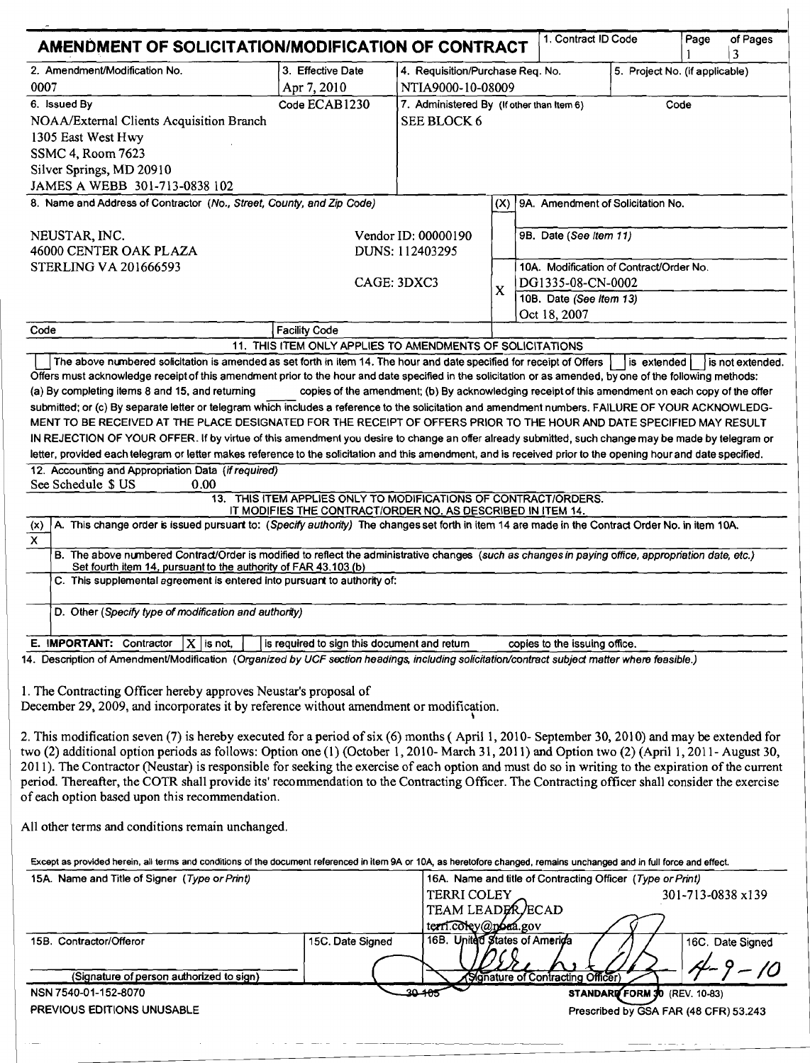|                                                                                                                                                                                                                                                                                                                                                                                                                                                                                                                                                                                                                                                                                                                                                                                                                                                                                                                                                                                                                                                                                                                                                                                                                                                       | 1. Contract ID Code<br>AMENDMENT OF SOLICITATION/MODIFICATION OF CONTRACT                                                      |                                                                                                   |                           |                                                                                                                                   |  | Page                          | of Pages         |
|-------------------------------------------------------------------------------------------------------------------------------------------------------------------------------------------------------------------------------------------------------------------------------------------------------------------------------------------------------------------------------------------------------------------------------------------------------------------------------------------------------------------------------------------------------------------------------------------------------------------------------------------------------------------------------------------------------------------------------------------------------------------------------------------------------------------------------------------------------------------------------------------------------------------------------------------------------------------------------------------------------------------------------------------------------------------------------------------------------------------------------------------------------------------------------------------------------------------------------------------------------|--------------------------------------------------------------------------------------------------------------------------------|---------------------------------------------------------------------------------------------------|---------------------------|-----------------------------------------------------------------------------------------------------------------------------------|--|-------------------------------|------------------|
| 2. Amendment/Modification No.<br>0007                                                                                                                                                                                                                                                                                                                                                                                                                                                                                                                                                                                                                                                                                                                                                                                                                                                                                                                                                                                                                                                                                                                                                                                                                 | 3. Effective Date<br>Apr 7, 2010                                                                                               | 4. Requisition/Purchase Req. No.<br>NTIA9000-10-08009                                             |                           | 5. Project No. (if applicable)                                                                                                    |  |                               |                  |
| 6. Issued By<br>NOAA/External Clients Acquisition Branch<br>1305 East West Hwy<br>SSMC 4, Room 7623<br>Silver Springs, MD 20910<br>JAMES A WEBB 301-713-0838 102                                                                                                                                                                                                                                                                                                                                                                                                                                                                                                                                                                                                                                                                                                                                                                                                                                                                                                                                                                                                                                                                                      | Code ECAB1230                                                                                                                  | 7. Administered By (If other than Item 6)<br>SEE BLOCK 6                                          |                           |                                                                                                                                   |  | Code                          |                  |
| 8. Name and Address of Contractor (No., Street, County, and Zip Code)                                                                                                                                                                                                                                                                                                                                                                                                                                                                                                                                                                                                                                                                                                                                                                                                                                                                                                                                                                                                                                                                                                                                                                                 |                                                                                                                                |                                                                                                   |                           | (X) 9A. Amendment of Solicitation No.                                                                                             |  |                               |                  |
| NEUSTAR, INC.<br>46000 CENTER OAK PLAZA<br><b>STERLING VA 201666593</b>                                                                                                                                                                                                                                                                                                                                                                                                                                                                                                                                                                                                                                                                                                                                                                                                                                                                                                                                                                                                                                                                                                                                                                               |                                                                                                                                | Vendor ID: 00000190<br>DUNS: 112403295<br>CAGE: 3DXC3                                             | $\boldsymbol{\mathsf{X}}$ | 9B. Date (See item 11)<br>10A. Modification of Contract/Order No.<br>DG1335-08-CN-0002<br>10B. Date (See Item 13)<br>Oct 18, 2007 |  |                               |                  |
| Code                                                                                                                                                                                                                                                                                                                                                                                                                                                                                                                                                                                                                                                                                                                                                                                                                                                                                                                                                                                                                                                                                                                                                                                                                                                  | <b>Facility Code</b>                                                                                                           |                                                                                                   |                           |                                                                                                                                   |  |                               |                  |
| (a) By completing items 8 and 15, and returning<br>submitted; or (c) By separate letter or telegram which includes a reference to the solicitation and amendment numbers. FAILURE OF YOUR ACKNOWLEDG-<br>MENT TO BE RECEIVED AT THE PLACE DESIGNATED FOR THE RECEIPT OF OFFERS PRIOR TO THE HOUR AND DATE SPECIFIED MAY RESULT<br>IN REJECTION OF YOUR OFFER. If by virtue of this amendment you desire to change an offer already submitted, such change may be made by telegram or<br>letter, provided each telegram or letter makes reference to the solicitation and this amendment, and is received prior to the opening hour and date specified.<br>12. Accounting and Appropriation Data (if required)<br>See Schedule \$ US<br>0.00<br>A. This change order is issued pursuart to: (Specify authority) The changes set forth in item 14 are made in the Contract Order No. in item 10A.<br>(x)<br>$\overline{\mathsf{x}}$<br>B. The above numbered Contract/Order is modified to reflect the administrative changes (such as changes in paying office, appropriation date, etc.)                                                                                                                                                              | 13. THIS ITEM APPLIES ONLY TO MODIFICATIONS OF CONTRACT/ORDERS.<br>IT MODIFIES THE CONTRACT/ORDER NO. AS DESCRIBED IN ITEM 14. | copies of the amendment; (b) By acknowledging receipt of this amendment on each copy of the offer |                           |                                                                                                                                   |  |                               |                  |
| Set fourth item 14, pursuant to the authority of FAR 43.103 (b)<br>C. This supplemental agreement is entered into pursuant to authority of:<br>D. Other (Specify type of modification and authority)                                                                                                                                                                                                                                                                                                                                                                                                                                                                                                                                                                                                                                                                                                                                                                                                                                                                                                                                                                                                                                                  |                                                                                                                                |                                                                                                   |                           |                                                                                                                                   |  |                               |                  |
| E. IMPORTANT: Contractor<br>$X$ is not,                                                                                                                                                                                                                                                                                                                                                                                                                                                                                                                                                                                                                                                                                                                                                                                                                                                                                                                                                                                                                                                                                                                                                                                                               | is required to sign this document and return                                                                                   |                                                                                                   |                           | copies to the issuing office.                                                                                                     |  |                               |                  |
|                                                                                                                                                                                                                                                                                                                                                                                                                                                                                                                                                                                                                                                                                                                                                                                                                                                                                                                                                                                                                                                                                                                                                                                                                                                       |                                                                                                                                |                                                                                                   |                           |                                                                                                                                   |  |                               |                  |
|                                                                                                                                                                                                                                                                                                                                                                                                                                                                                                                                                                                                                                                                                                                                                                                                                                                                                                                                                                                                                                                                                                                                                                                                                                                       |                                                                                                                                |                                                                                                   |                           |                                                                                                                                   |  |                               |                  |
|                                                                                                                                                                                                                                                                                                                                                                                                                                                                                                                                                                                                                                                                                                                                                                                                                                                                                                                                                                                                                                                                                                                                                                                                                                                       |                                                                                                                                |                                                                                                   |                           |                                                                                                                                   |  |                               |                  |
| 14. Description of Amendment/Modification (Organized by UCF section headings, including solicitation/contract subject matter where feasible.)<br>1. The Contracting Officer hereby approves Neustar's proposal of<br>December 29, 2009, and incorporates it by reference without amendment or modification.<br>2. This modification seven (7) is hereby executed for a period of six (6) months (April 1, 2010- September 30, 2010) and may be extended for<br>two (2) additional option periods as follows: Option one (1) (October 1, 2010- March 31, 2011) and Option two (2) (April 1, 2011- August 30,<br>2011). The Contractor (Neustar) is responsible for seeking the exercise of each option and must do so in writing to the expiration of the current<br>period. Thereafter, the COTR shall provide its' recommendation to the Contracting Officer. The Contracting officer shall consider the exercise<br>of each option based upon this recommendation.<br>All other terms and conditions remain unchanged.<br>Except as provided herein, all terms and conditions of the document referenced in item 9A or 10A, as heretofore changed, remains unchanged and in full force and effect.<br>15A. Name and Title of Signer (Type or Print) |                                                                                                                                | <b>TERRI COLEY</b><br>TEAM LEADER ECAD                                                            |                           | 16A. Name and title of Contracting Officer (Type or Print)                                                                        |  | 301-713-0838 x139             |                  |
| 15B. Contractor/Offeror                                                                                                                                                                                                                                                                                                                                                                                                                                                                                                                                                                                                                                                                                                                                                                                                                                                                                                                                                                                                                                                                                                                                                                                                                               | 15C. Date Signed                                                                                                               | terri.coley@pora.gov<br>16B. United States of America                                             |                           |                                                                                                                                   |  |                               | 16C. Date Signed |
| (Signature of person authorized to sign)<br>NSN 7540-01-152-8070                                                                                                                                                                                                                                                                                                                                                                                                                                                                                                                                                                                                                                                                                                                                                                                                                                                                                                                                                                                                                                                                                                                                                                                      |                                                                                                                                | 30-405                                                                                            |                           | Signature of Contracting Officer)                                                                                                 |  | STANDARD FORM 30 (REV. 10-83) |                  |

--~---~~-------~-~~-